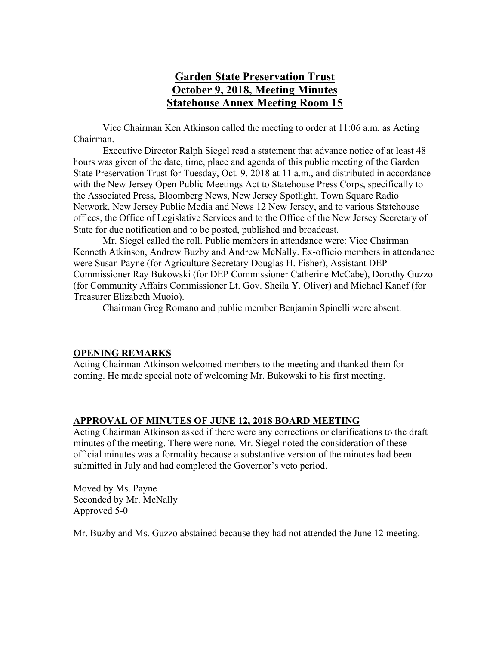# **Garden State Preservation Trust October 9, 2018, Meeting Minutes Statehouse Annex Meeting Room 15**

Vice Chairman Ken Atkinson called the meeting to order at 11:06 a.m. as Acting Chairman.

Executive Director Ralph Siegel read a statement that advance notice of at least 48 hours was given of the date, time, place and agenda of this public meeting of the Garden State Preservation Trust for Tuesday, Oct. 9, 2018 at 11 a.m., and distributed in accordance with the New Jersey Open Public Meetings Act to Statehouse Press Corps, specifically to the Associated Press, Bloomberg News, New Jersey Spotlight, Town Square Radio Network, New Jersey Public Media and News 12 New Jersey, and to various Statehouse offices, the Office of Legislative Services and to the Office of the New Jersey Secretary of State for due notification and to be posted, published and broadcast.

Mr. Siegel called the roll. Public members in attendance were: Vice Chairman Kenneth Atkinson, Andrew Buzby and Andrew McNally. Ex-officio members in attendance were Susan Payne (for Agriculture Secretary Douglas H. Fisher), Assistant DEP Commissioner Ray Bukowski (for DEP Commissioner Catherine McCabe), Dorothy Guzzo (for Community Affairs Commissioner Lt. Gov. Sheila Y. Oliver) and Michael Kanef (for Treasurer Elizabeth Muoio).

Chairman Greg Romano and public member Benjamin Spinelli were absent.

### **OPENING REMARKS**

Acting Chairman Atkinson welcomed members to the meeting and thanked them for coming. He made special note of welcoming Mr. Bukowski to his first meeting.

### **APPROVAL OF MINUTES OF JUNE 12, 2018 BOARD MEETING**

Acting Chairman Atkinson asked if there were any corrections or clarifications to the draft minutes of the meeting. There were none. Mr. Siegel noted the consideration of these official minutes was a formality because a substantive version of the minutes had been submitted in July and had completed the Governor's veto period.

Moved by Ms. Payne Seconded by Mr. McNally Approved 5-0

Mr. Buzby and Ms. Guzzo abstained because they had not attended the June 12 meeting.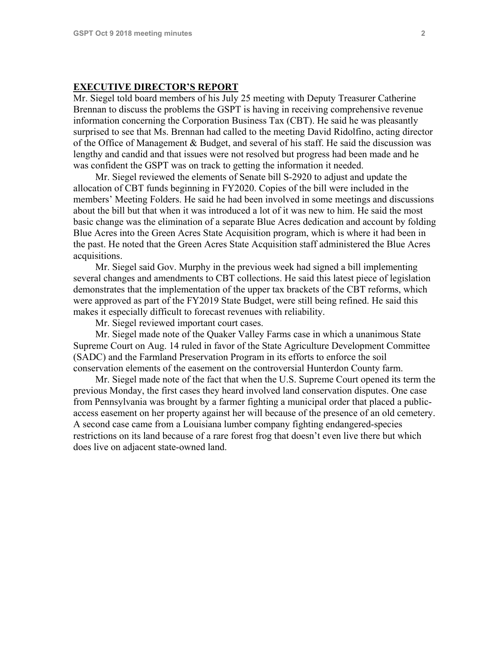### **EXECUTIVE DIRECTOR'S REPORT**

Mr. Siegel told board members of his July 25 meeting with Deputy Treasurer Catherine Brennan to discuss the problems the GSPT is having in receiving comprehensive revenue information concerning the Corporation Business Tax (CBT). He said he was pleasantly surprised to see that Ms. Brennan had called to the meeting David Ridolfino, acting director of the Office of Management & Budget, and several of his staff. He said the discussion was lengthy and candid and that issues were not resolved but progress had been made and he was confident the GSPT was on track to getting the information it needed.

Mr. Siegel reviewed the elements of Senate bill S-2920 to adjust and update the allocation of CBT funds beginning in FY2020. Copies of the bill were included in the members' Meeting Folders. He said he had been involved in some meetings and discussions about the bill but that when it was introduced a lot of it was new to him. He said the most basic change was the elimination of a separate Blue Acres dedication and account by folding Blue Acres into the Green Acres State Acquisition program, which is where it had been in the past. He noted that the Green Acres State Acquisition staff administered the Blue Acres acquisitions.

Mr. Siegel said Gov. Murphy in the previous week had signed a bill implementing several changes and amendments to CBT collections. He said this latest piece of legislation demonstrates that the implementation of the upper tax brackets of the CBT reforms, which were approved as part of the FY2019 State Budget, were still being refined. He said this makes it especially difficult to forecast revenues with reliability.

Mr. Siegel reviewed important court cases.

Mr. Siegel made note of the Quaker Valley Farms case in which a unanimous State Supreme Court on Aug. 14 ruled in favor of the State Agriculture Development Committee (SADC) and the Farmland Preservation Program in its efforts to enforce the soil conservation elements of the easement on the controversial Hunterdon County farm.

Mr. Siegel made note of the fact that when the U.S. Supreme Court opened its term the previous Monday, the first cases they heard involved land conservation disputes. One case from Pennsylvania was brought by a farmer fighting a municipal order that placed a publicaccess easement on her property against her will because of the presence of an old cemetery. A second case came from a Louisiana lumber company fighting endangered-species restrictions on its land because of a rare forest frog that doesn't even live there but which does live on adjacent state-owned land.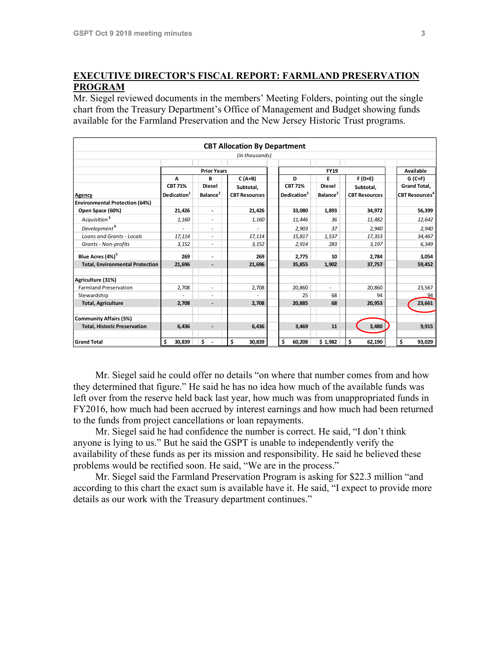## **EXECUTIVE DIRECTOR'S FISCAL REPORT: FARMLAND PRESERVATION PROGRAM**

Mr. Siegel reviewed documents in the members' Meeting Folders, pointing out the single chart from the Treasury Department's Office of Management and Budget showing funds available for the Farmland Preservation and the New Jersey Historic Trust programs.

| <b>CBT Allocation By Department</b>    |                         |                                |                      |                         |                      |                      |                                  |
|----------------------------------------|-------------------------|--------------------------------|----------------------|-------------------------|----------------------|----------------------|----------------------------------|
|                                        |                         |                                | (in thousands)       |                         |                      |                      |                                  |
|                                        | <b>Prior Years</b>      |                                |                      | <b>FY19</b>             |                      |                      | Available                        |
|                                        | A                       | B                              | $C(A+B)$             | D                       | Е                    | $F(D+E)$             | $G(C+F)$                         |
|                                        | <b>CBT 71%</b>          | <b>Diesel</b>                  | Subtotal.            | <b>CBT 71%</b>          | <b>Diesel</b>        | Subtotal.            | Grand Total,                     |
| Agency                                 | Dedication <sup>1</sup> | Balance <sup>2</sup>           | <b>CBT Resources</b> | Dedication <sup>3</sup> | Balance <sup>2</sup> | <b>CBT Resources</b> | <b>CBT Resources<sup>4</sup></b> |
| <b>Environmental Protection (64%)</b>  |                         |                                |                      |                         |                      |                      |                                  |
| Open Space (60%)                       | 21,426                  | $\blacksquare$                 | 21,426               | 33,080                  | 1,893                | 34,972               | 56,399                           |
| Acquisition <sup>5</sup>               | 1,160                   | ۰                              | 1,160                | 11,446                  | 36                   | 11,482               | 12,642                           |
| Development <sup>6</sup>               |                         | ٠                              |                      | 2,903                   | 37                   | 2.940                | 2.940                            |
| <b>Loans and Grants - Locals</b>       | 17,114                  | ۰                              | 17,114               | 15,817                  | 1,537                | 17,353               | 34,467                           |
| <b>Grants - Non-profits</b>            | 3,152                   | $\overline{a}$                 | 3,152                | 2,914                   | 283                  | 3,197                | 6,349                            |
| Blue Acres (4%) <sup>5</sup>           | 269                     | $\overline{\phantom{a}}$       | 269                  | 2,775                   | 10                   | 2.784                | 3,054                            |
| <b>Total, Environmental Protection</b> | 21,696                  |                                | 21,696               | 35,855                  | 1,902                | 37,757               | 59,452                           |
| Agriculture (31%)                      |                         |                                |                      |                         |                      |                      |                                  |
| <b>Farmland Preservation</b>           | 2,708                   | $\overline{\phantom{a}}$       | 2,708                | 20,860                  | ٠                    | 20.860               | 23,567                           |
| Stewardship                            |                         | ۰                              |                      | 25                      | 68                   | 94                   | 94                               |
| <b>Total, Agriculture</b>              | 2,708                   |                                | 2,708                | 20,885                  | 68                   | 20,953               | 23,661                           |
| Community Affairs (5%)                 |                         |                                |                      |                         |                      |                      |                                  |
| <b>Total, Historic Preservation</b>    | 6,436                   |                                | 6,436                | 3,469                   | 11                   | 3,480                | 9,915                            |
| <b>Grand Total</b>                     | \$<br>30,839            | \$<br>$\overline{\phantom{a}}$ | \$<br>30,839         | \$.<br>60,208           | \$1,982              | \$<br>62,190         | \$<br>93,029                     |

Mr. Siegel said he could offer no details "on where that number comes from and how they determined that figure." He said he has no idea how much of the available funds was left over from the reserve held back last year, how much was from unappropriated funds in FY2016, how much had been accrued by interest earnings and how much had been returned to the funds from project cancellations or loan repayments.

Mr. Siegel said he had confidence the number is correct. He said, "I don't think anyone is lying to us." But he said the GSPT is unable to independently verify the availability of these funds as per its mission and responsibility. He said he believed these problems would be rectified soon. He said, "We are in the process."

Mr. Siegel said the Farmland Preservation Program is asking for \$22.3 million "and according to this chart the exact sum is available have it. He said, "I expect to provide more details as our work with the Treasury department continues."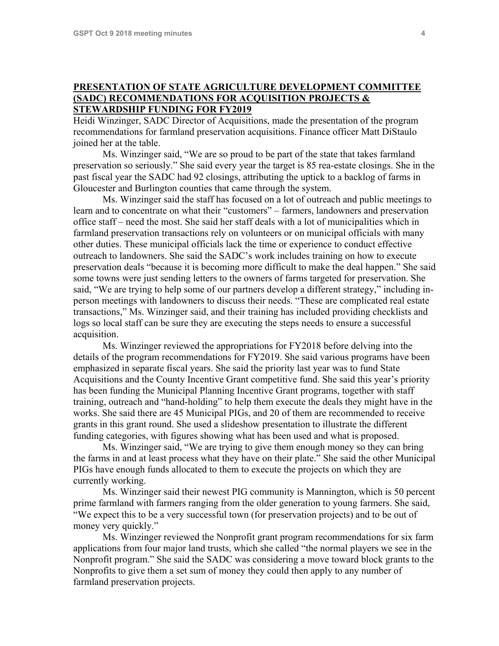## **PRESENTATION OF STATE AGRICULTURE DEVELOPMENT COMMITTEE (SADC) RECOMMENDATIONS FOR ACQUISITION PROJECTS & STEWARDSHIP FUNDING FOR FY2019**

Heidi Winzinger, SADC Director of Acquisitions, made the presentation of the program recommendations for farmland preservation acquisitions. Finance officer Matt DiStaulo joined her at the table.

Ms. Winzinger said, "We are so proud to be part of the state that takes farmland preservation so seriously." She said every year the target is 85 rea-estate closings. She in the past fiscal year the SADC had 92 closings, attributing the uptick to a backlog of farms in Gloucester and Burlington counties that came through the system.

Ms. Winzinger said the staff has focused on a lot of outreach and public meetings to learn and to concentrate on what their "customers" – farmers, landowners and preservation office staff – need the most. She said her staff deals with a lot of municipalities which in farmland preservation transactions rely on volunteers or on municipal officials with many other duties. These municipal officials lack the time or experience to conduct effective outreach to landowners. She said the SADC's work includes training on how to execute preservation deals "because it is becoming more difficult to make the deal happen." She said some towns were just sending letters to the owners of farms targeted for preservation. She said, "We are trying to help some of our partners develop a different strategy," including inperson meetings with landowners to discuss their needs. "These are complicated real estate transactions," Ms. Winzinger said, and their training has included providing checklists and logs so local staff can be sure they are executing the steps needs to ensure a successful acquisition.

Ms. Winzinger reviewed the appropriations for FY2018 before delving into the details of the program recommendations for FY2019. She said various programs have been emphasized in separate fiscal years. She said the priority last year was to fund State Acquisitions and the County Incentive Grant competitive fund. She said this year's priority has been funding the Municipal Planning Incentive Grant programs, together with staff training, outreach and "hand-holding" to help them execute the deals they might have in the works. She said there are 45 Municipal PIGs, and 20 of them are recommended to receive grants in this grant round. She used a slideshow presentation to illustrate the different funding categories, with figures showing what has been used and what is proposed.

Ms. Winzinger said, "We are trying to give them enough money so they can bring the farms in and at least process what they have on their plate." She said the other Municipal PIGs have enough funds allocated to them to execute the projects on which they are currently working.

Ms. Winzinger said their newest PIG community is Mannington, which is 50 percent prime farmland with farmers ranging from the older generation to young farmers. She said, "We expect this to be a very successful town (for preservation projects) and to be out of money very quickly."

Ms. Winzinger reviewed the Nonprofit grant program recommendations for six farm applications from four major land trusts, which she called "the normal players we see in the Nonprofit program." She said the SADC was considering a move toward block grants to the Nonprofits to give them a set sum of money they could then apply to any number of farmland preservation projects.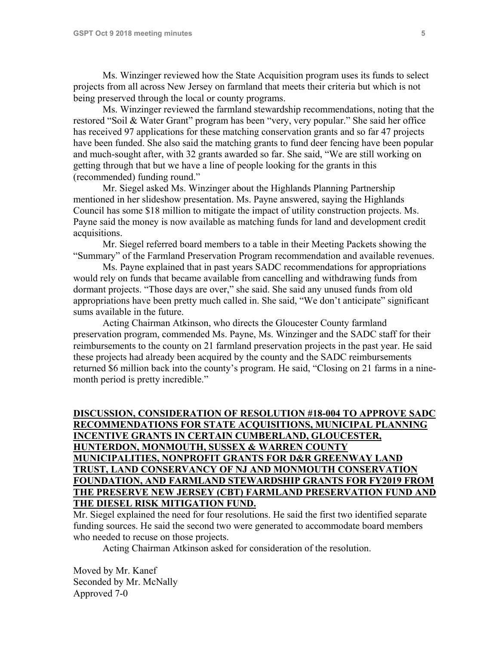Ms. Winzinger reviewed how the State Acquisition program uses its funds to select projects from all across New Jersey on farmland that meets their criteria but which is not being preserved through the local or county programs.

Ms. Winzinger reviewed the farmland stewardship recommendations, noting that the restored "Soil & Water Grant" program has been "very, very popular." She said her office has received 97 applications for these matching conservation grants and so far 47 projects have been funded. She also said the matching grants to fund deer fencing have been popular and much-sought after, with 32 grants awarded so far. She said, "We are still working on getting through that but we have a line of people looking for the grants in this (recommended) funding round."

Mr. Siegel asked Ms. Winzinger about the Highlands Planning Partnership mentioned in her slideshow presentation. Ms. Payne answered, saying the Highlands Council has some \$18 million to mitigate the impact of utility construction projects. Ms. Payne said the money is now available as matching funds for land and development credit acquisitions.

Mr. Siegel referred board members to a table in their Meeting Packets showing the "Summary" of the Farmland Preservation Program recommendation and available revenues.

Ms. Payne explained that in past years SADC recommendations for appropriations would rely on funds that became available from cancelling and withdrawing funds from dormant projects. "Those days are over," she said. She said any unused funds from old appropriations have been pretty much called in. She said, "We don't anticipate" significant sums available in the future.

Acting Chairman Atkinson, who directs the Gloucester County farmland preservation program, commended Ms. Payne, Ms. Winzinger and the SADC staff for their reimbursements to the county on 21 farmland preservation projects in the past year. He said these projects had already been acquired by the county and the SADC reimbursements returned \$6 million back into the county's program. He said, "Closing on 21 farms in a ninemonth period is pretty incredible."

## **DISCUSSION, CONSIDERATION OF RESOLUTION #18-004 TO APPROVE SADC RECOMMENDATIONS FOR STATE ACQUISITIONS, MUNICIPAL PLANNING INCENTIVE GRANTS IN CERTAIN CUMBERLAND, GLOUCESTER, HUNTERDON, MONMOUTH, SUSSEX & WARREN COUNTY MUNICIPALITIES, NONPROFIT GRANTS FOR D&R GREENWAY LAND TRUST, LAND CONSERVANCY OF NJ AND MONMOUTH CONSERVATION FOUNDATION, AND FARMLAND STEWARDSHIP GRANTS FOR FY2019 FROM THE PRESERVE NEW JERSEY (CBT) FARMLAND PRESERVATION FUND AND THE DIESEL RISK MITIGATION FUND.**

Mr. Siegel explained the need for four resolutions. He said the first two identified separate funding sources. He said the second two were generated to accommodate board members who needed to recuse on those projects.

Acting Chairman Atkinson asked for consideration of the resolution.

Moved by Mr. Kanef Seconded by Mr. McNally Approved 7-0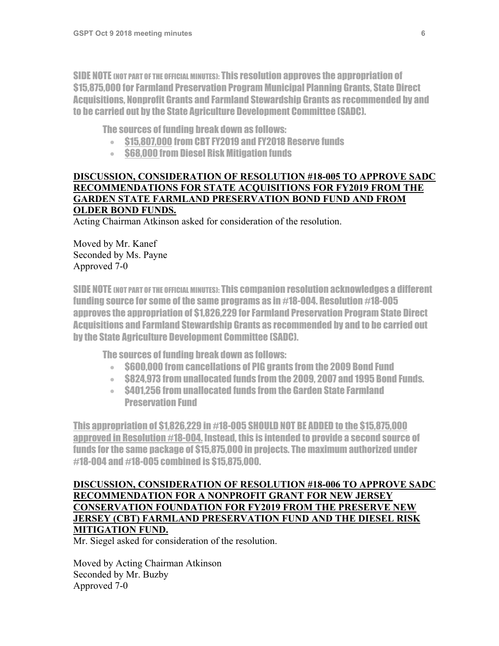SIDE NOTE (NOT PART OF THE OFFICIAL MINUTES): This resolution approves the appropriation of \$15,875,000 for Farmland Preservation Program Municipal Planning Grants, State Direct Acquisitions, Nonprofit Grants and Farmland Stewardship Grants as recommended by and to be carried out by the State Agriculture Development Committee (SADC).

The sources of funding break down as follows:

- \$15,807,000 from CBT FY2019 and FY2018 Reserve funds
- \$68,000 from Diesel Risk Mitigation funds

## **DISCUSSION, CONSIDERATION OF RESOLUTION #18-005 TO APPROVE SADC RECOMMENDATIONS FOR STATE ACQUISITIONS FOR FY2019 FROM THE GARDEN STATE FARMLAND PRESERVATION BOND FUND AND FROM OLDER BOND FUNDS.**

Acting Chairman Atkinson asked for consideration of the resolution.

Moved by Mr. Kanef Seconded by Ms. Payne Approved 7-0

SIDE NOTE (NOT PART OF THE OFFICIAL MINUTES): This companion resolution acknowledges a different funding source for some of the same programs as in  $\#$ 18-004. Resolution  $\#$ 18-005 approves the appropriation of \$1,826,229 for Farmland Preservation Program State Direct Acquisitions and Farmland Stewardship Grants as recommended by and to be carried out by the State Agriculture Development Committee (SADC).

The sources of funding break down as follows:

- \$600,000 from cancellations of PIG grants from the 2009 Bond Fund
- \$824,973 from unallocated funds from the 2009, 2007 and 1995 Bond Funds.
- \$401,256 from unallocated funds from the Garden State Farmland Preservation Fund

This appropriation of \$1,826,229 in #18-005 SHOULD NOT BE ADDED to the \$15,875,000 approved in Resolution #18-004. Instead, this is intended to provide a second source of funds for the same package of \$15,875,000 in projects. The maximum authorized under #18-004 and #18-005 combined is \$15,875,000.

## **DISCUSSION, CONSIDERATION OF RESOLUTION #18-006 TO APPROVE SADC RECOMMENDATION FOR A NONPROFIT GRANT FOR NEW JERSEY CONSERVATION FOUNDATION FOR FY2019 FROM THE PRESERVE NEW JERSEY (CBT) FARMLAND PRESERVATION FUND AND THE DIESEL RISK MITIGATION FUND.**

Mr. Siegel asked for consideration of the resolution.

Moved by Acting Chairman Atkinson Seconded by Mr. Buzby Approved 7-0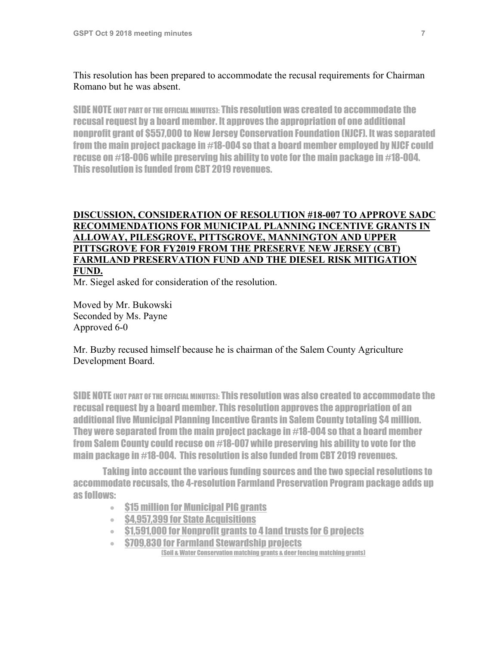This resolution has been prepared to accommodate the recusal requirements for Chairman Romano but he was absent.

SIDE NOTE (NOT PART OF THE OFFICIAL MINUTES): This resolution was created to accommodate the recusal request by a board member. It approves the appropriation of one additional nonprofit grant of \$557,000 to New Jersey Conservation Foundation (NJCF). It was separated from the main project package in #18-004 so that a board member employed by NJCF could recuse on #18-006 while preserving his ability to vote for the main package in #18-004. This resolution is funded from CBT 2019 revenues.

## **DISCUSSION, CONSIDERATION OF RESOLUTION #18-007 TO APPROVE SADC RECOMMENDATIONS FOR MUNICIPAL PLANNING INCENTIVE GRANTS IN ALLOWAY, PILESGROVE, PITTSGROVE, MANNINGTON AND UPPER PITTSGROVE FOR FY2019 FROM THE PRESERVE NEW JERSEY (CBT) FARMLAND PRESERVATION FUND AND THE DIESEL RISK MITIGATION FUND.**

Mr. Siegel asked for consideration of the resolution.

Moved by Mr. Bukowski Seconded by Ms. Payne Approved 6-0

Mr. Buzby recused himself because he is chairman of the Salem County Agriculture Development Board.

SIDE NOTE (NOT PART OF THE OFFICIAL MINUTES): This resolution was also created to accommodate the recusal request by a board member. This resolution approves the appropriation of an additional five Municipal Planning Incentive Grants in Salem County totaling \$4 million. They were separated from the main project package in #18-004 so that a board member from Salem County could recuse on #18-007 while preserving his ability to vote for the main package in #18-004. This resolution is also funded from CBT 2019 revenues.

Taking into account the various funding sources and the two special resolutions to accommodate recusals, the 4-resolution Farmland Preservation Program package adds up as follows:

- \$15 million for Municipal PIG grants
- \$4,957,399 for State Acquisitions
- \$1,591,000 for Nonprofit grants to 4 land trusts for 6 projects
- \$709,830 for Farmland Stewardship projects (Soil & Water Conservation matching grants & deer fencing matching grants)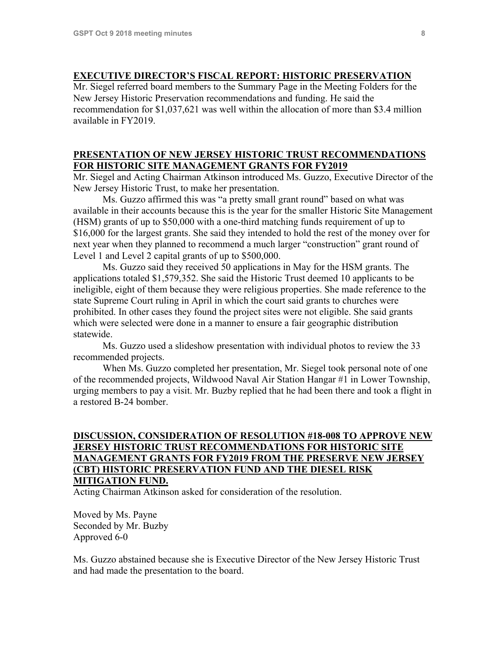## **EXECUTIVE DIRECTOR'S FISCAL REPORT: HISTORIC PRESERVATION**

Mr. Siegel referred board members to the Summary Page in the Meeting Folders for the New Jersey Historic Preservation recommendations and funding. He said the recommendation for \$1,037,621 was well within the allocation of more than \$3.4 million available in FY2019.

## **PRESENTATION OF NEW JERSEY HISTORIC TRUST RECOMMENDATIONS FOR HISTORIC SITE MANAGEMENT GRANTS FOR FY2019**

Mr. Siegel and Acting Chairman Atkinson introduced Ms. Guzzo, Executive Director of the New Jersey Historic Trust, to make her presentation.

Ms. Guzzo affirmed this was "a pretty small grant round" based on what was available in their accounts because this is the year for the smaller Historic Site Management (HSM) grants of up to \$50,000 with a one-third matching funds requirement of up to \$16,000 for the largest grants. She said they intended to hold the rest of the money over for next year when they planned to recommend a much larger "construction" grant round of Level 1 and Level 2 capital grants of up to \$500,000.

Ms. Guzzo said they received 50 applications in May for the HSM grants. The applications totaled \$1,579,352. She said the Historic Trust deemed 10 applicants to be ineligible, eight of them because they were religious properties. She made reference to the state Supreme Court ruling in April in which the court said grants to churches were prohibited. In other cases they found the project sites were not eligible. She said grants which were selected were done in a manner to ensure a fair geographic distribution statewide.

Ms. Guzzo used a slideshow presentation with individual photos to review the 33 recommended projects.

When Ms. Guzzo completed her presentation, Mr. Siegel took personal note of one of the recommended projects, Wildwood Naval Air Station Hangar #1 in Lower Township, urging members to pay a visit. Mr. Buzby replied that he had been there and took a flight in a restored B-24 bomber.

## **DISCUSSION, CONSIDERATION OF RESOLUTION #18-008 TO APPROVE NEW JERSEY HISTORIC TRUST RECOMMENDATIONS FOR HISTORIC SITE MANAGEMENT GRANTS FOR FY2019 FROM THE PRESERVE NEW JERSEY (CBT) HISTORIC PRESERVATION FUND AND THE DIESEL RISK MITIGATION FUND.**

Acting Chairman Atkinson asked for consideration of the resolution.

Moved by Ms. Payne Seconded by Mr. Buzby Approved 6-0

Ms. Guzzo abstained because she is Executive Director of the New Jersey Historic Trust and had made the presentation to the board.